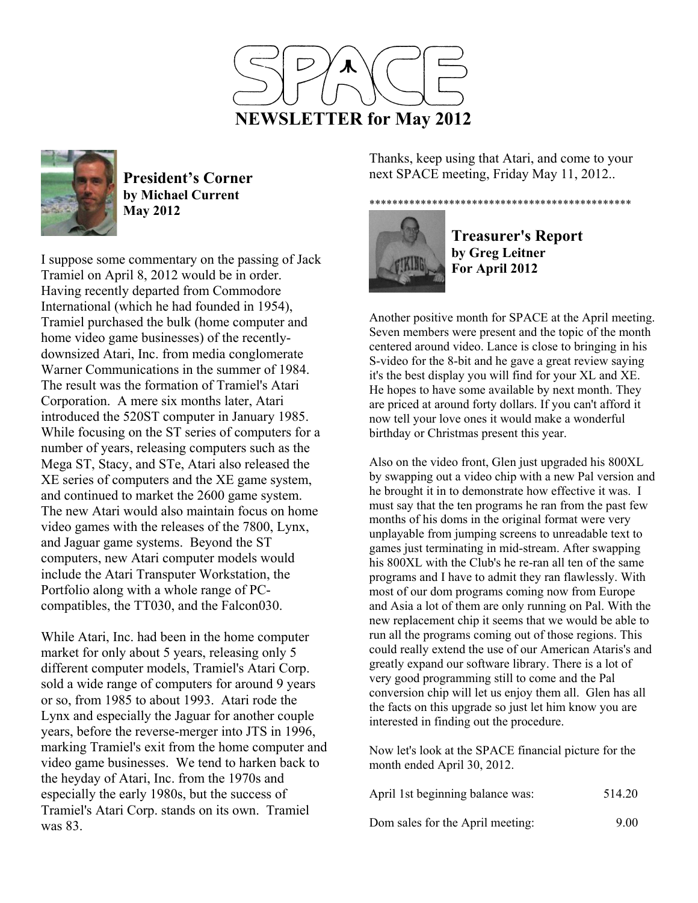



**President's Corner by Michael Current May 2012**

I suppose some commentary on the passing of Jack Tramiel on April 8, 2012 would be in order. Having recently departed from Commodore International (which he had founded in 1954), Tramiel purchased the bulk (home computer and home video game businesses) of the recentlydownsized Atari, Inc. from media conglomerate Warner Communications in the summer of 1984. The result was the formation of Tramiel's Atari Corporation. A mere six months later, Atari introduced the 520ST computer in January 1985. While focusing on the ST series of computers for a number of years, releasing computers such as the Mega ST, Stacy, and STe, Atari also released the XE series of computers and the XE game system, and continued to market the 2600 game system. The new Atari would also maintain focus on home video games with the releases of the 7800, Lynx, and Jaguar game systems. Beyond the ST computers, new Atari computer models would include the Atari Transputer Workstation, the Portfolio along with a whole range of PCcompatibles, the TT030, and the Falcon030.

While Atari, Inc. had been in the home computer market for only about 5 years, releasing only 5 different computer models, Tramiel's Atari Corp. sold a wide range of computers for around 9 years or so, from 1985 to about 1993. Atari rode the Lynx and especially the Jaguar for another couple years, before the reverse-merger into JTS in 1996, marking Tramiel's exit from the home computer and video game businesses. We tend to harken back to the heyday of Atari, Inc. from the 1970s and especially the early 1980s, but the success of Tramiel's Atari Corp. stands on its own. Tramiel was 83.

Thanks, keep using that Atari, and come to your next SPACE meeting, Friday May 11, 2012..

## \*\*\*\*\*\*\*\*\*\*\*\*\*\*\*\*\*\*\*\*\*\*\*\*\*\*\*\*\*\*\*\*\*\*\*\*\*\*\*\*\*\*\*\*\*\*



**Treasurer's Report by Greg Leitner For April 2012** 

Another positive month for SPACE at the April meeting. Seven members were present and the topic of the month centered around video. Lance is close to bringing in his S-video for the 8-bit and he gave a great review saying it's the best display you will find for your XL and XE. He hopes to have some available by next month. They are priced at around forty dollars. If you can't afford it now tell your love ones it would make a wonderful birthday or Christmas present this year.

Also on the video front, Glen just upgraded his 800XL by swapping out a video chip with a new Pal version and he brought it in to demonstrate how effective it was. I must say that the ten programs he ran from the past few months of his doms in the original format were very unplayable from jumping screens to unreadable text to games just terminating in mid-stream. After swapping his 800XL with the Club's he re-ran all ten of the same programs and I have to admit they ran flawlessly. With most of our dom programs coming now from Europe and Asia a lot of them are only running on Pal. With the new replacement chip it seems that we would be able to run all the programs coming out of those regions. This could really extend the use of our American Ataris's and greatly expand our software library. There is a lot of very good programming still to come and the Pal conversion chip will let us enjoy them all. Glen has all the facts on this upgrade so just let him know you are interested in finding out the procedure.

Now let's look at the SPACE financial picture for the month ended April 30, 2012.

| April 1st beginning balance was: | 514.20 |
|----------------------------------|--------|
| Dom sales for the April meeting: | 9.00   |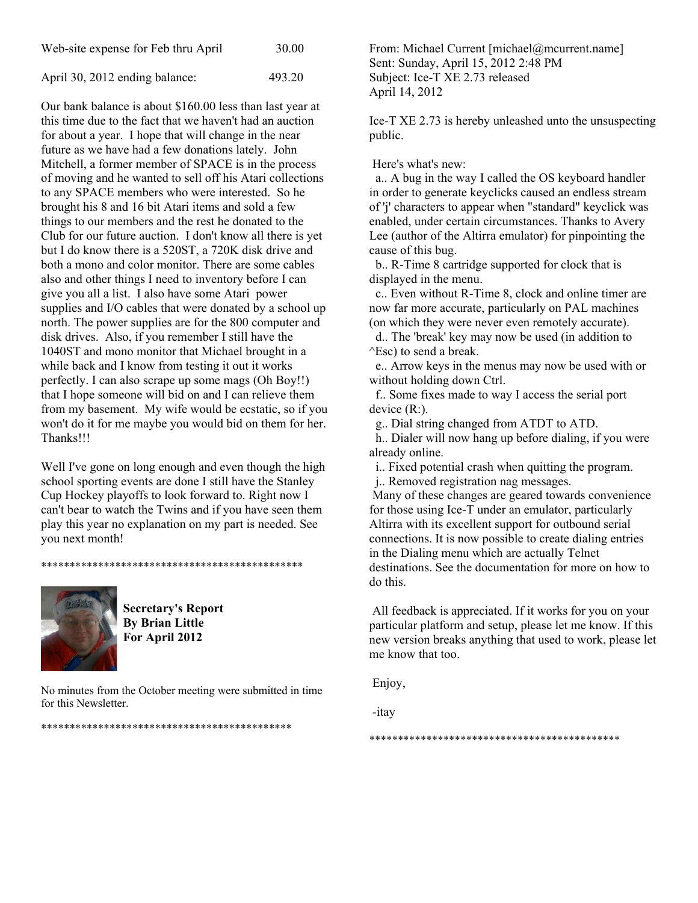| Web-site expense for Feb thru April | 30.00 |
|-------------------------------------|-------|
|-------------------------------------|-------|

April 30, 2012 ending balance: 493.20

Our bank balance is about \$160.00 less than last year at this time due to the fact that we haven't had an auction for about a year. I hope that will change in the near future as we have had a few donations lately. John Mitchell, a former member of SPACE is in the process of moving and he wanted to sell off his Atari collections to any SPACE members who were interested. So he brought his 8 and 16 bit Atari items and sold a few things to our members and the rest he donated to the Club for our future auction. I don't know all there is yet but I do know there is a 520ST, a 720K disk drive and both a mono and color monitor. There are some cables also and other things I need to inventory before I can give you all a list. I also have some Atari power supplies and I/O cables that were donated by a school up north. The power supplies are for the 800 computer and disk drives. Also, if you remember I still have the 1040ST and mono monitor that Michael brought in a while back and I know from testing it out it works perfectly. I can also scrape up some mags (Oh Boy!!) that I hope someone will bid on and I can relieve them from my basement. My wife would be ecstatic, so if you won't do it for me maybe you would bid on them for her. Thanks!!!

Well I've gone on long enough and even though the high school sporting events are done I still have the Stanley Cup Hockey playoffs to look forward to. Right now I can't bear to watch the Twins and if you have seen them play this year no explanation on my part is needed. See you next month!



**Secretary's Report By Brian Little For April 2012** 

\*\*\*\*\*\*\*\*\*\*\*\*\*\*\*\*\*\*\*\*\*\*\*\*\*\*\*\*\*\*\*\*\*\*\*\*\*\*\*\*\*\*\*\*\*\*

No minutes from the October meeting were submitted in time for this Newsletter.

\*\*\*\*\*\*\*\*\*\*\*\*\*\*\*\*\*\*\*\*\*\*\*\*\*\*\*\*\*\*\*\*\*\*\*\*\*\*\*\*\*\*\*\*

From: Michael Current [michael@mcurrent.name] Sent: Sunday, April 15, 2012 2:48 PM Subject: Ice-T XE 2.73 released April 14, 2012

Ice-T XE 2.73 is hereby unleashed unto the unsuspecting public.

Here's what's new:

 a.. A bug in the way I called the OS keyboard handler in order to generate keyclicks caused an endless stream of 'j' characters to appear when "standard" keyclick was enabled, under certain circumstances. Thanks to Avery Lee (author of the Altirra emulator) for pinpointing the cause of this bug.

 b.. R-Time 8 cartridge supported for clock that is displayed in the menu.

 c.. Even without R-Time 8, clock and online timer are now far more accurate, particularly on PAL machines (on which they were never even remotely accurate).

 d.. The 'break' key may now be used (in addition to ^Esc) to send a break.

 e.. Arrow keys in the menus may now be used with or without holding down Ctrl.

 f.. Some fixes made to way I access the serial port device (R:).

g.. Dial string changed from ATDT to ATD.

 h.. Dialer will now hang up before dialing, if you were already online.

i.. Fixed potential crash when quitting the program.

j.. Removed registration nag messages.

 Many of these changes are geared towards convenience for those using Ice-T under an emulator, particularly Altirra with its excellent support for outbound serial connections. It is now possible to create dialing entries in the Dialing menu which are actually Telnet destinations. See the documentation for more on how to do this.

 All feedback is appreciated. If it works for you on your particular platform and setup, please let me know. If this new version breaks anything that used to work, please let me know that too.

Enjoy,

-itay

\*\*\*\*\*\*\*\*\*\*\*\*\*\*\*\*\*\*\*\*\*\*\*\*\*\*\*\*\*\*\*\*\*\*\*\*\*\*\*\*\*\*\*\*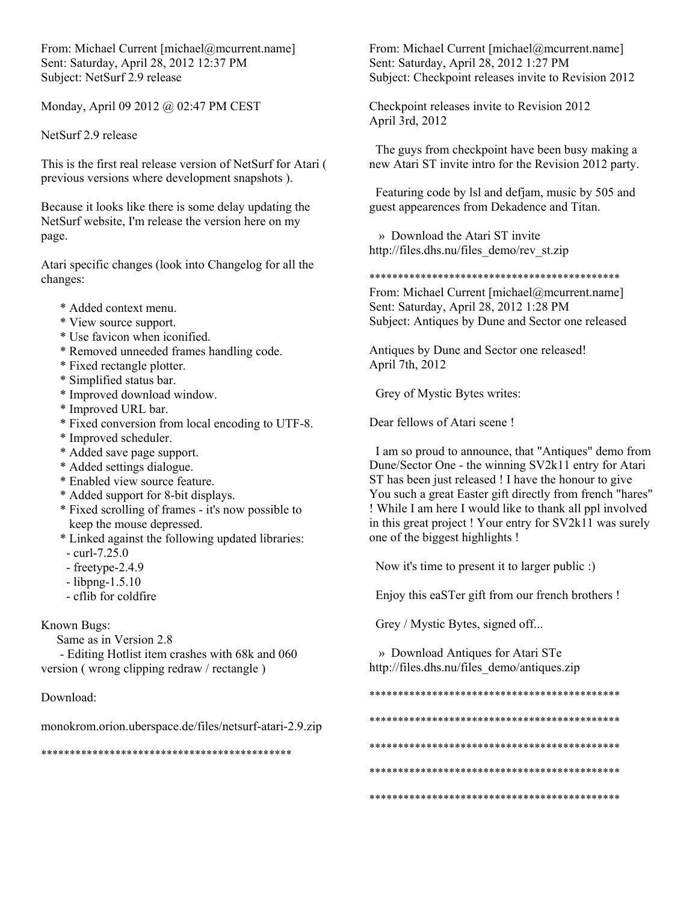From: Michael Current [michael@mcurrent.name] Sent: Saturday, April 28, 2012 12:37 PM Subject: NetSurf 2.9 release

Monday, April 09 2012 @ 02:47 PM CEST

NetSurf 2.9 release

This is the first real release version of NetSurf for Atari ( previous versions where development snapshots ).

Because it looks like there is some delay updating the NetSurf website, I'm release the version here on my page.

Atari specific changes (look into Changelog for all the changes:

- \* Added context menu.
- \* View source support.
- \* Use favicon when iconified.
- \* Removed unneeded frames handling code.
- \* Fixed rectangle plotter.
- \* Simplified status bar.
- \* Improved download window.
- \* Improved URL bar.
- \* Fixed conversion from local encoding to UTF-8.
- \* Improved scheduler.
- \* Added save page support.
- \* Added settings dialogue.
- \* Enabled view source feature.
- \* Added support for 8-bit displays.
- \* Fixed scrolling of frames it's now possible to keep the mouse depressed.
- \* Linked against the following updated libraries:
- curl-7.25.0
- freetype-2.4.9
- libpng-1.5.10
- cflib for coldfire

Known Bugs:

Same as in Version 2.8

 - Editing Hotlist item crashes with 68k and 060 version ( wrong clipping redraw / rectangle )

## Download:

monokrom.orion.uberspace.de/files/netsurf-atari-2.9.zip

\*\*\*\*\*\*\*\*\*\*\*\*\*\*\*\*\*\*\*\*\*\*\*\*\*\*\*\*\*\*\*\*\*\*\*\*\*\*\*\*\*\*\*\*

From: Michael Current [michael@mcurrent.name] Sent: Saturday, April 28, 2012 1:27 PM Subject: Checkpoint releases invite to Revision 2012

Checkpoint releases invite to Revision 2012 April 3rd, 2012

 The guys from checkpoint have been busy making a new Atari ST invite intro for the Revision 2012 party.

 Featuring code by lsl and defjam, music by 505 and guest appearences from Dekadence and Titan.

 » Download the Atari ST invite http://files.dhs.nu/files\_demo/rev\_st.zip

\*\*\*\*\*\*\*\*\*\*\*\*\*\*\*\*\*\*\*\*\*\*\*\*\*\*\*\*\*\*\*\*\*\*\*\*\*\*\*\*\*\*\*\*

From: Michael Current [michael@mcurrent.name] Sent: Saturday, April 28, 2012 1:28 PM Subject: Antiques by Dune and Sector one released

Antiques by Dune and Sector one released! April 7th, 2012

Grey of Mystic Bytes writes:

Dear fellows of Atari scene !

 I am so proud to announce, that "Antiques" demo from Dune/Sector One - the winning SV2k11 entry for Atari ST has been just released ! I have the honour to give You such a great Easter gift directly from french "hares" ! While I am here I would like to thank all ppl involved in this great project ! Your entry for SV2k11 was surely one of the biggest highlights !

Now it's time to present it to larger public :)

Enjoy this eaSTer gift from our french brothers !

Grey / Mystic Bytes, signed off...

 » Download Antiques for Atari STe http://files.dhs.nu/files\_demo/antiques.zip

\*\*\*\*\*\*\*\*\*\*\*\*\*\*\*\*\*\*\*\*\*\*\*\*\*\*\*\*\*\*\*\*\*\*\*\*\*\*\*\*\*\*\*\*

- \*\*\*\*\*\*\*\*\*\*\*\*\*\*\*\*\*\*\*\*\*\*\*\*\*\*\*\*\*\*\*\*\*\*\*\*\*\*\*\*\*\*\*\*
- 
- \*\*\*\*\*\*\*\*\*\*\*\*\*\*\*\*\*\*\*\*\*\*\*\*\*\*\*\*\*\*\*\*\*\*\*\*\*\*\*\*\*\*\*\*
- \*\*\*\*\*\*\*\*\*\*\*\*\*\*\*\*\*\*\*\*\*\*\*\*\*\*\*\*\*\*\*\*\*\*\*\*\*\*\*\*\*\*\*\*

\*\*\*\*\*\*\*\*\*\*\*\*\*\*\*\*\*\*\*\*\*\*\*\*\*\*\*\*\*\*\*\*\*\*\*\*\*\*\*\*\*\*\*\*